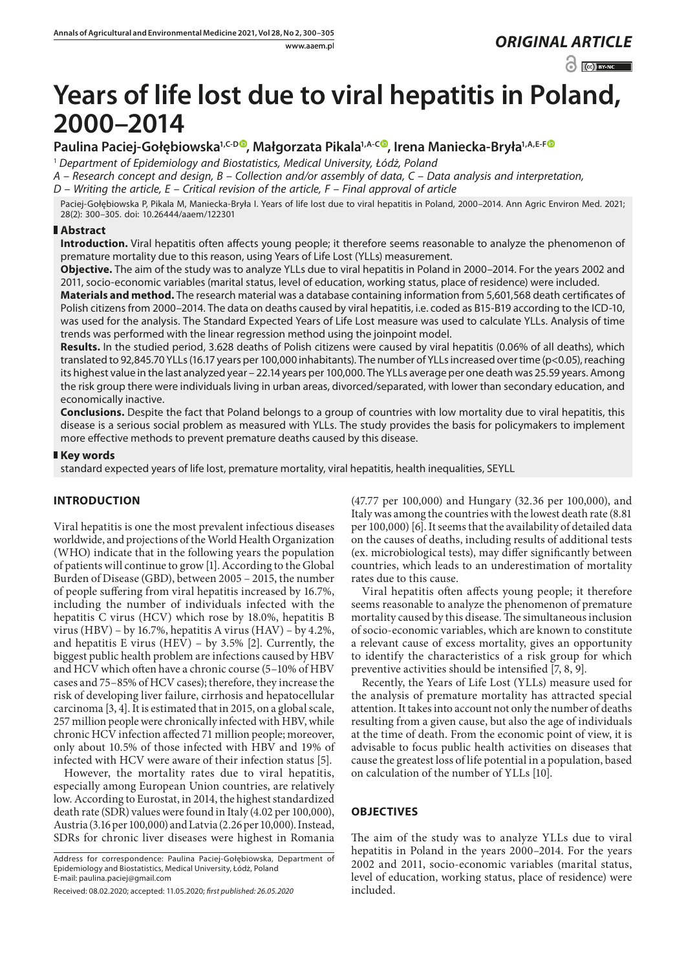# www.aaem.pl *ORIGINAL [ARTICLE](https://creativecommons.org/licenses/by-nc/3.0/pl/deed.en)*

 $\odot$   $\odot$  BY-NC

# **Years of life lost due to viral hepatitis in Poland, 2000–2014**

# **Paulina Paciej-Gołębiowska1,C-D [,](https://orcid.org/0000-0002-4494-9299) Małgorzata Pikala1,A-C [,](https://orcid.org/0000-0003-4426-4908) Irena Maniecka-Bryła1,A,E-[F](https://orcid.org/0000-0002-6671-7456)**

<sup>1</sup> *Department of Epidemiology and Biostatistics, Medical University, Łódż, Poland*

*A – Research concept and design, B – Collection and/or assembly of data, C – Data analysis and interpretation,* 

*D – Writing the article, E – Critical revision of the article, F – Final approval of article*

Paciej-Gołębiowska P, Pikala M, Maniecka-Bryła I. Years of life lost due to viral hepatitis in Poland, 2000–2014. Ann Agric Environ Med. 2021; 28(2): 300–305. doi: 10.26444/aaem/122301

## **Abstract**

**Introduction.** Viral hepatitis often affects young people; it therefore seems reasonable to analyze the phenomenon of premature mortality due to this reason, using Years of Life Lost (YLLs) measurement.

**Objective.** The aim of the study was to analyze YLLs due to viral hepatitis in Poland in 2000–2014. For the years 2002 and 2011, socio-economic variables (marital status, level of education, working status, place of residence) were included.

**Materials and method.** The research material was a database containing information from 5,601,568 death certificates of Polish citizens from 2000–2014. The data on deaths caused by viral hepatitis, i.e. coded as B15-B19 according to the ICD-10, was used for the analysis. The Standard Expected Years of Life Lost measure was used to calculate YLLs. Analysis of time trends was performed with the linear regression method using the joinpoint model.

**Results.** In the studied period, 3.628 deaths of Polish citizens were caused by viral hepatitis (0.06% of all deaths), which translated to 92,845.70 YLLs (16.17 years per 100,000 inhabitants). The number of YLLs increased over time (p<0.05), reaching its highest value in the last analyzed year – 22.14 years per 100,000. The YLLs average per one death was 25.59 years. Among the risk group there were individuals living in urban areas, divorced/separated, with lower than secondary education, and economically inactive.

**Conclusions.** Despite the fact that Poland belongs to a group of countries with low mortality due to viral hepatitis, this disease is a serious social problem as measured with YLLs. The study provides the basis for policymakers to implement more effective methods to prevent premature deaths caused by this disease.

## **Key words**

standard expected years of life lost, premature mortality, viral hepatitis, health inequalities, SEYLL

# **INTRODUCTION**

Viral hepatitis is one the most prevalent infectious diseases worldwide, and projections of the World Health Organization (WHO) indicate that in the following years the population of patients will continue to grow [1]. According to the Global Burden of Disease (GBD), between 2005 – 2015, the number of people suffering from viral hepatitis increased by 16.7%, including the number of individuals infected with the hepatitis C virus (HCV) which rose by 18.0%, hepatitis B virus (HBV) – by 16.7%, hepatitis A virus (HAV) – by 4.2%, and hepatitis E virus (HEV) – by 3.5% [2]. Currently, the biggest public health problem are infections caused by HBV and HCV which often have a chronic course (5–10% of HBV cases and 75–85% of HCV cases); therefore, they increase the risk of developing liver failure, cirrhosis and hepatocellular carcinoma [3, 4]. It is estimated that in 2015, on a global scale, 257 million people were chronically infected with HBV, while chronic HCV infection affected 71 million people; moreover, only about 10.5% of those infected with HBV and 19% of infected with HCV were aware of their infection status [5].

However, the mortality rates due to viral hepatitis, especially among European Union countries, are relatively low. According to Eurostat, in 2014, the highest standardized death rate (SDR) values were found in Italy (4.02 per 100,000), Austria (3.16 per 100,000) and Latvia (2.26 per 10,000). Instead, SDRs for chronic liver diseases were highest in Romania

Address for correspondence: Paulina Paciej-Gołębiowska, Department of Epidemiology and Biostatistics, Medical University, Łódż, Poland E-mail: paulina.paciej@gmail.com

Received: 08.02.2020; accepted: 11.05.2020; *first published: 26.05.2020*

(47.77 per 100,000) and Hungary (32.36 per 100,000), and Italy was among the countries with the lowest death rate (8.81 per 100,000) [6]. It seems that the availability of detailed data on the causes of deaths, including results of additional tests (ex. microbiological tests), may differ significantly between countries, which leads to an underestimation of mortality rates due to this cause.

Viral hepatitis often affects young people; it therefore seems reasonable to analyze the phenomenon of premature mortality caused by this disease. The simultaneous inclusion of socio-economic variables, which are known to constitute a relevant cause of excess mortality, gives an opportunity to identify the characteristics of a risk group for which preventive activities should be intensified [7, 8, 9].

Recently, the Years of Life Lost (YLLs) measure used for the analysis of premature mortality has attracted special attention. It takes into account not only the number of deaths resulting from a given cause, but also the age of individuals at the time of death. From the economic point of view, it is advisable to focus public health activities on diseases that cause the greatest loss of life potential in a population, based on calculation of the number of YLLs [10].

# **OBJECTIVES**

The aim of the study was to analyze YLLs due to viral hepatitis in Poland in the years 2000–2014. For the years 2002 and 2011, socio-economic variables (marital status, level of education, working status, place of residence) were included.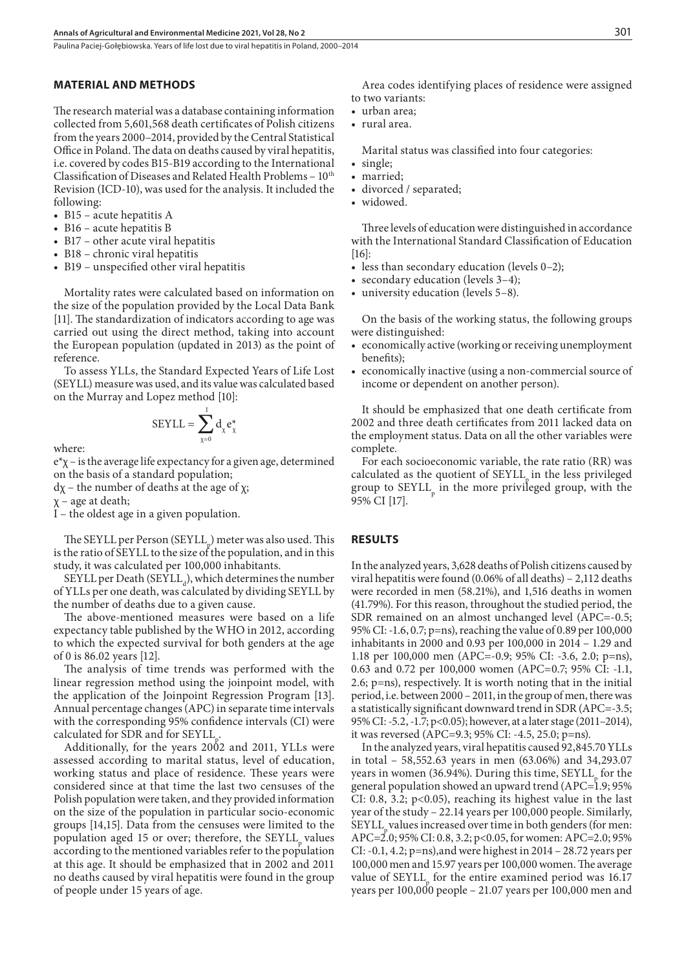Paulina Paciej-Gołębiowska . Years of life lost due to viral hepatitis in Poland, 2000–2014

#### **MATERIAL AND METHODS**

The research material was a database containing information collected from 5,601,568 death certificates of Polish citizens from the years 2000–2014, provided by the Central Statistical Office in Poland. The data on deaths caused by viral hepatitis, i.e. covered by codes B15-B19 according to the International Classification of Diseases and Related Health Problems -  $10^{th}$ Revision (ICD-10), was used for the analysis. It included the following:

- B15 acute hepatitis  $A$
- B16 acute hepatitis B
- $\bullet$  B17 other acute viral hepatitis
- B18 chronic viral hepatitis
- B19 unspecified other viral hepatitis

Mortality rates were calculated based on information on the size of the population provided by the Local Data Bank [11]. The standardization of indicators according to age was carried out using the direct method, taking into account the European population (updated in 2013) as the point of reference.

To assess YLLs, the Standard Expected Years of Life Lost (SEYLL) measure was used, and its value was calculated based on the Murray and Lopez method [10]:

$$
SEYLL = \sum_{\chi=0}^{1} d_{\chi} e_{\chi}^{*}
$$

where:

 $e^{x}$ χ – is the average life expectancy for a given age, determined on the basis of a standard population;

 $d\chi$  – the number of deaths at the age of  $\chi$ ;

 $\chi$  – age at death;

I – the oldest age in a given population.

The SEYLL per Person  $(SEYLL_p)$  meter was also used. This is the ratio of SEYLL to the size of the population, and in this study, it was calculated per 100,000 inhabitants.

 $SEYLL$  per Death ( $SEYLL_d$ ), which determines the number of YLLs per one death, was calculated by dividing SEYLL by the number of deaths due to a given cause.

The above-mentioned measures were based on a life expectancy table published by the WHO in 2012, according to which the expected survival for both genders at the age of 0 is 86.02 years [12].

The analysis of time trends was performed with the linear regression method using the joinpoint model, with the application of the Joinpoint Regression Program [13]. Annual percentage changes (APC) in separate time intervals with the corresponding 95% confidence intervals (CI) were calculated for SDR and for SEYLL .

Additionally, for the years 2002 and 2011, YLLs were assessed according to marital status, level of education, working status and place of residence. These years were considered since at that time the last two censuses of the Polish population were taken, and they provided information on the size of the population in particular socio-economic groups [14,15]. Data from the censuses were limited to the population aged 15 or over; therefore, the SEYLL<sub>p</sub> values according to the mentioned variables refer to the population at this age. It should be emphasized that in 2002 and 2011 no deaths caused by viral hepatitis were found in the group of people under 15 years of age.

Area codes identifying places of residence were assigned to two variants:

- urban area:
- • rural area.

Marital status was classified into four categories:

- single;
- married;
- divorced / separated;
- widowed.

Three levels of education were distinguished in accordance with the International Standard Classification of Education [16]:

- less than secondary education (levels 0–2);
- secondary education (levels 3–4);
- university education (levels 5–8).

On the basis of the working status, the following groups were distinguished:

- economically active (working or receiving unemployment benefits);
- economically inactive (using a non-commercial source of income or dependent on another person).

It should be emphasized that one death certificate from 2002 and three death certificates from 2011 lacked data on the employment status. Data on all the other variables were complete.

For each socioeconomic variable, the rate ratio (RR) was calculated as the quotient of SEYLL in the less privileged group to  $SEYLL$ <sub>p</sub> in the more privileged group, with the 95% CI [17].

#### **RESULTS**

In the analyzed years, 3,628 deaths of Polish citizens caused by viral hepatitis were found (0.06% of all deaths) – 2,112 deaths were recorded in men (58.21%), and 1,516 deaths in women (41.79%). For this reason, throughout the studied period, the SDR remained on an almost unchanged level (APC=-0.5; 95% CI: -1.6, 0.7; p=ns), reaching the value of 0.89 per 100,000 inhabitants in 2000 and 0.93 per 100,000 in 2014 – 1.29 and 1.18 per 100,000 men (APC=-0.9; 95% CI: -3.6, 2.0; p=ns), 0.63 and 0.72 per 100,000 women (APC=0.7; 95% CI: -1.1, 2.6; p=ns), respectively. It is worth noting that in the initial period, i.e. between 2000 – 2011, in the group of men, there was a statistically significant downward trend in SDR (APC=-3.5; 95% CI: -5.2, -1.7; p<0.05); however, at a later stage (2011–2014), it was reversed (APC=9.3; 95% CI: -4.5, 25.0; p=ns).

In the analyzed years, viral hepatitis caused 92,845.70 YLLs in total – 58,552.63 years in men (63.06%) and 34,293.07 years in women (36.94%). During this time,  $SEYLL$ <sub>p</sub> for the general population showed an upward trend (APC=1.9; 95% CI: 0.8, 3.2; p<0.05), reaching its highest value in the last year of the study – 22.14 years per 100,000 people. Similarly, SEYLL<sub>r</sub> values increased over time in both genders (for men: APC=2.0; 95% CI: 0.8, 3.2; p<0.05, for women: APC=2.0; 95% CI: -0.1, 4.2; p=ns),and were highest in 2014 – 28.72 years per 100,000 men and 15.97 years per 100,000 women. The average value of  $SEYLL$ <sub>p</sub> for the entire examined period was 16.17 years per 100,000 people – 21.07 years per 100,000 men and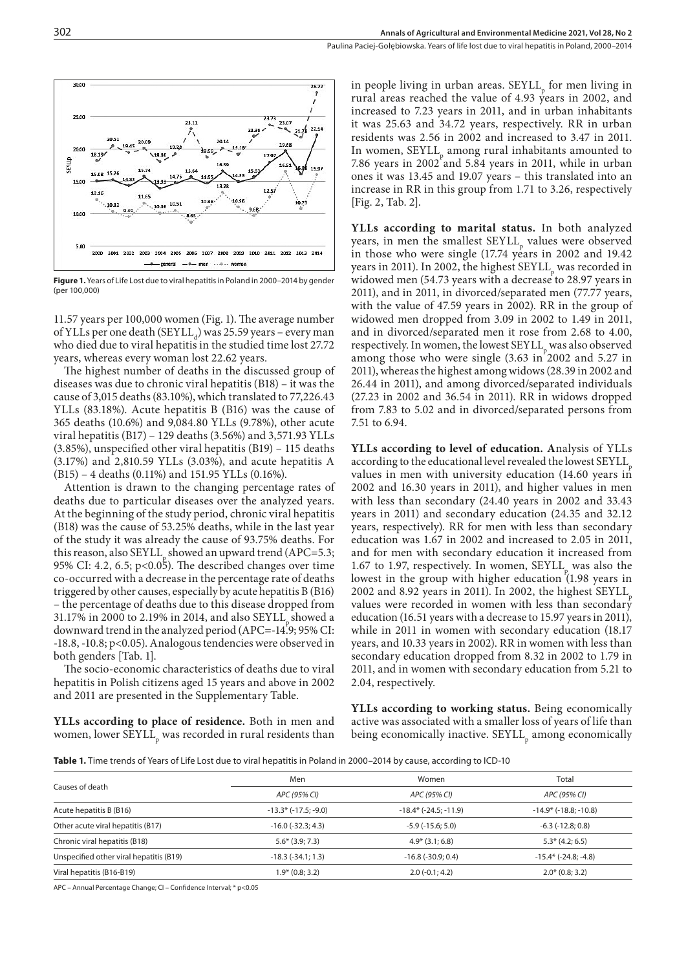

**Figure 1.** Years of Life Lost due to viral hepatitis in Poland in 2000–2014 by gender (per 100,000)

11.57 years per 100,000 women (Fig. 1). The average number of YLLs per one death  $(S>EYLL_d)$  was 25.59 years – every man who died due to viral hepatitis in the studied time lost 27.72 years, whereas every woman lost 22.62 years.

The highest number of deaths in the discussed group of diseases was due to chronic viral hepatitis (B18) – it was the cause of 3,015 deaths (83.10%), which translated to 77,226.43 YLLs (83.18%). Acute hepatitis B (B16) was the cause of 365 deaths (10.6%) and 9,084.80 YLLs (9.78%), other acute viral hepatitis (B17) – 129 deaths (3.56%) and 3,571.93 YLLs (3.85%), unspecified other viral hepatitis (B19) – 115 deaths (3.17%) and 2,810.59 YLLs (3.03%), and acute hepatitis A (B15) – 4 deaths (0.11%) and 151.95 YLLs (0.16%).

Attention is drawn to the changing percentage rates of deaths due to particular diseases over the analyzed years. At the beginning of the study period, chronic viral hepatitis (B18) was the cause of 53.25% deaths, while in the last year of the study it was already the cause of 93.75% deaths. For this reason, also  $SEYLL$  showed an upward trend (APC=5.3; 95% CI: 4.2, 6.5; p<0.05). The described changes over time co-occurred with a decrease in the percentage rate of deaths triggered by other causes, especially by acute hepatitis B (B16) – the percentage of deaths due to this disease dropped from 31.17% in 2000 to 2.19% in 2014, and also SEYLL, showed a downward trend in the analyzed period (APC=-14.9; 95% CI: -18.8, -10.8; p<0.05). Analogous tendencies were observed in both genders [Tab. 1].

The socio-economic characteristics of deaths due to viral hepatitis in Polish citizens aged 15 years and above in 2002 and 2011 are presented in the Supplementary Table.

**YLLs according to place of residence.** Both in men and women, lower  $\operatorname{SEYLL}_\text{p}$  was recorded in rural residents than

in people living in urban areas.  $SEYLL$  for men living in rural areas reached the value of 4.93 years in 2002, and increased to 7.23 years in 2011, and in urban inhabitants it was 25.63 and 34.72 years, respectively. RR in urban residents was 2.56 in 2002 and increased to 3.47 in 2011. In women,  $SEYLL$  among rural inhabitants amounted to 7.86 years in 2002 and 5.84 years in 2011, while in urban ones it was 13.45 and 19.07 years – this translated into an increase in RR in this group from 1.71 to 3.26, respectively [Fig. 2, Tab. 2].

**YLLs according to marital status.** In both analyzed years, in men the smallest  $SEYLL$ <sub>p</sub> values were observed in those who were single (17.74 years in 2002 and 19.42 years in 2011). In 2002, the highest  $SEYLL$ <sub>p</sub> was recorded in widowed men (54.73 years with a decrease to 28.97 years in 2011), and in 2011, in divorced/separated men (77.77 years, with the value of 47.59 years in 2002). RR in the group of widowed men dropped from 3.09 in 2002 to 1.49 in 2011, and in divorced/separated men it rose from 2.68 to 4.00, respectively. In women, the lowest  $SEYLL$ <sub>p</sub> was also observed among those who were single (3.63 in 2002 and 5.27 in 2011), whereas the highest among widows (28.39 in 2002 and 26.44 in 2011), and among divorced/separated individuals (27.23 in 2002 and 36.54 in 2011). RR in widows dropped from 7.83 to 5.02 and in divorced/separated persons from 7.51 to 6.94.

**YLLs according to level of education. A**nalysis of YLLs according to the educational level revealed the lowest SEYLL values in men with university education (14.60 years in 2002 and 16.30 years in 2011), and higher values in men with less than secondary (24.40 years in 2002 and 33.43 years in 2011) and secondary education (24.35 and 32.12 years, respectively). RR for men with less than secondary education was 1.67 in 2002 and increased to 2.05 in 2011, and for men with secondary education it increased from 1.67 to 1.97, respectively. In women,  $SEYLL$ <sub>p</sub> was also the lowest in the group with higher education  $(1.98 \text{ years in}$  $2002$  and  $8.92$  years in 2011). In 2002, the highest SEYLL values were recorded in women with less than secondary education (16.51 years with a decrease to 15.97 years in 2011), while in 2011 in women with secondary education (18.17 years, and 10.33 years in 2002). RR in women with less than secondary education dropped from 8.32 in 2002 to 1.79 in 2011, and in women with secondary education from 5.21 to 2.04, respectively.

**YLLs according to working status.** Being economically active was associated with a smaller loss of years of life than being economically inactive.  $\text{SEYLL}_\text{p}$  among economically

**Table 1.** Time trends of Years of Life Lost due to viral hepatitis in Poland in 2000–2014 by cause, according to ICD-10

|                                         | Men                            | Women                       | Total                       |
|-----------------------------------------|--------------------------------|-----------------------------|-----------------------------|
| Causes of death                         | APC (95% CI)                   | APC (95% CI)                | APC (95% CI)                |
| Acute hepatitis B (B16)                 | $-13.3$ * ( $-17.5$ ; $-9.0$ ) | $-18.4*$ ( $-24.5: -11.9$ ) | $-14.9*$ ( $-18.8: -10.8$ ) |
| Other acute viral hepatitis (B17)       | $-16.0$ ( $-32.3; 4.3$ )       | $-5.9$ ( $-15.6$ ; 5.0)     | $-6.3$ ( $-12.8$ ; 0.8)     |
| Chronic viral hepatitis (B18)           | $5.6*(3.9; 7.3)$               | $4.9*$ (3.1; 6.8)           | $5.3*$ (4.2; 6.5)           |
| Unspecified other viral hepatitis (B19) | $-18.3(-34.1; 1.3)$            | $-16.8(-30.9; 0.4)$         | $-15.4*$ ( $-24.8: -4.8$ )  |
| Viral hepatitis (B16-B19)               | $1.9* (0.8; 3.2)$              | $2.0(-0.1; 4.2)$            | $2.0* (0.8; 3.2)$           |
|                                         |                                |                             |                             |

APC – Annual Percentage Change; CI – Confidence Interval; \* p<0.05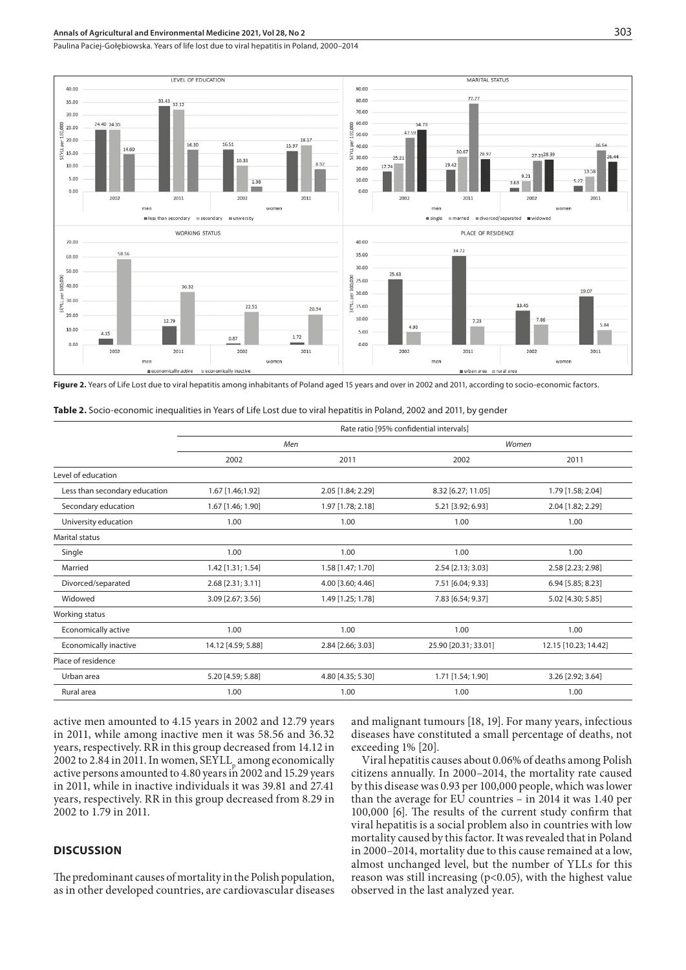Paulina Paciej-Gołębiowska . Years of life lost due to viral hepatitis in Poland, 2000–2014



**Figure 2.** Years of Life Lost due to viral hepatitis among inhabitants of Poland aged 15 years and over in 2002 and 2011, according to socio-economic factors.

| <b>Table 2.</b> Socio-economic inequalities in Years of Life Lost due to viral hepatitis in Poland, 2002 and 2011, by gender |  |
|------------------------------------------------------------------------------------------------------------------------------|--|
|------------------------------------------------------------------------------------------------------------------------------|--|

|                               | Rate ratio [95% confidential intervals] |                   |                      |                      |  |  |
|-------------------------------|-----------------------------------------|-------------------|----------------------|----------------------|--|--|
|                               | Men                                     |                   | Women                |                      |  |  |
|                               | 2002                                    | 2011              | 2002                 | 2011                 |  |  |
| Level of education            |                                         |                   |                      |                      |  |  |
| Less than secondary education | 1.67 [1.46;1.92]                        | 2.05 [1.84; 2.29] | 8.32 [6.27; 11.05]   | 1.79 [1.58; 2.04]    |  |  |
| Secondary education           | 1.67 [1.46; 1.90]                       | 1.97 [1.78; 2.18] | 5.21 [3.92; 6.93]    | 2.04 [1.82; 2.29]    |  |  |
| University education          | 1.00                                    | 1.00              | 1.00                 | 1.00                 |  |  |
| <b>Marital status</b>         |                                         |                   |                      |                      |  |  |
| Single                        | 1.00                                    | 1.00              | 1.00                 | 1.00                 |  |  |
| Married                       | 1.42 [1.31; 1.54]                       | 1.58 [1.47; 1.70] | 2.54 [2.13; 3.03]    | 2.58 [2.23; 2.98]    |  |  |
| Divorced/separated            | 2.68 [2.31; 3.11]                       | 4.00 [3.60; 4.46] | 7.51 [6.04; 9.33]    | 6.94 [5.85; 8.23]    |  |  |
| Widowed                       | 3.09 [2.67; 3.56]                       | 1.49 [1.25; 1.78] | 7.83 [6.54; 9.37]    | 5.02 [4.30; 5.85]    |  |  |
| Working status                |                                         |                   |                      |                      |  |  |
| Economically active           | 1.00                                    | 1.00              | 1.00                 | 1.00                 |  |  |
| Economically inactive         | 14.12 [4.59; 5.88]                      | 2.84 [2.66; 3.03] | 25.90 [20.31; 33.01] | 12.15 [10.23; 14.42] |  |  |
| Place of residence            |                                         |                   |                      |                      |  |  |
| Urban area                    | 5.20 [4.59; 5.88]                       | 4.80 [4.35; 5.30] | 1.71 [1.54; 1.90]    | 3.26 [2.92; 3.64]    |  |  |
| Rural area                    | 1.00                                    | 1.00              | 1.00                 | 1.00                 |  |  |

active men amounted to 4.15 years in 2002 and 12.79 years in 2011, while among inactive men it was 58.56 and 36.32 years, respectively. RR in this group decreased from 14.12 in 2002 to 2.84 in 2011. In women,  $SEYLL_p$  among economically active persons amounted to 4.80 years in 2002 and 15.29 years in 2011, while in inactive individuals it was 39.81 and 27.41 years, respectively. RR in this group decreased from 8.29 in 2002 to 1.79 in 2011.

#### **DISCUSSION**

The predominant causes of mortality in the Polish population, as in other developed countries, are cardiovascular diseases and malignant tumours [18, 19]. For many years, infectious diseases have constituted a small percentage of deaths, not exceeding 1% [20].

Viral hepatitis causes about 0.06% of deaths among Polish citizens annually. In 2000–2014, the mortality rate caused by this disease was 0.93 per 100,000 people, which was lower than the average for EU countries – in 2014 it was 1.40 per 100,000 [6]. The results of the current study confirm that viral hepatitis is a social problem also in countries with low mortality caused by this factor. It was revealed that in Poland in 2000–2014, mortality due to this cause remained at a low, almost unchanged level, but the number of YLLs for this reason was still increasing (p<0.05), with the highest value observed in the last analyzed year.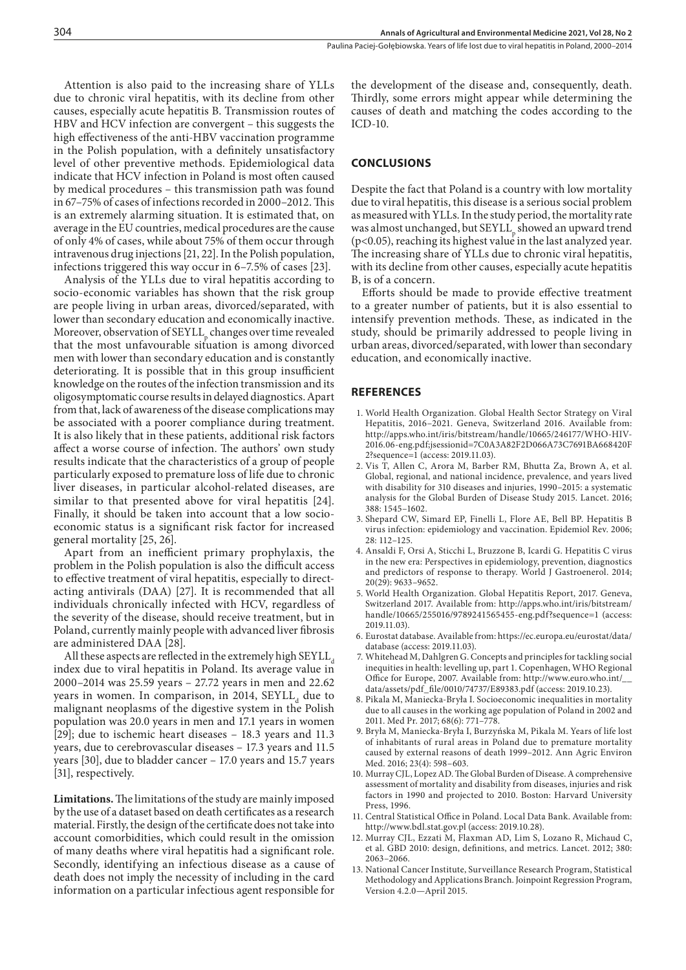Attention is also paid to the increasing share of YLLs due to chronic viral hepatitis, with its decline from other causes, especially acute hepatitis B. Transmission routes of HBV and HCV infection are convergent – this suggests the high effectiveness of the anti-HBV vaccination programme in the Polish population, with a definitely unsatisfactory level of other preventive methods. Epidemiological data indicate that HCV infection in Poland is most often caused by medical procedures – this transmission path was found in 67–75% of cases of infections recorded in 2000–2012. This is an extremely alarming situation. It is estimated that, on average in the EU countries, medical procedures are the cause of only 4% of cases, while about 75% of them occur through intravenous drug injections [21, 22]. In the Polish population, infections triggered this way occur in 6–7.5% of cases [23].

Analysis of the YLLs due to viral hepatitis according to socio-economic variables has shown that the risk group are people living in urban areas, divorced/separated, with lower than secondary education and economically inactive. Moreover, observation of SEYLL, changes over time revealed that the most unfavourable situation is among divorced men with lower than secondary education and is constantly deteriorating. It is possible that in this group insufficient knowledge on the routes of the infection transmission and its oligosymptomatic course results in delayed diagnostics. Apart from that, lack of awareness of the disease complications may be associated with a poorer compliance during treatment. It is also likely that in these patients, additional risk factors affect a worse course of infection. The authors' own study results indicate that the characteristics of a group of people particularly exposed to premature loss of life due to chronic liver diseases, in particular alcohol-related diseases, are similar to that presented above for viral hepatitis [24]. Finally, it should be taken into account that a low socioeconomic status is a significant risk factor for increased general mortality [25, 26].

Apart from an inefficient primary prophylaxis, the problem in the Polish population is also the difficult access to effective treatment of viral hepatitis, especially to directacting antivirals (DAA) [27]. It is recommended that all individuals chronically infected with HCV, regardless of the severity of the disease, should receive treatment, but in Poland, currently mainly people with advanced liver fibrosis are administered DAA [28].

All these aspects are reflected in the extremely high  $SEYLL$ index due to viral hepatitis in Poland. Its average value in 2000–2014 was 25.59 years – 27.72 years in men and 22.62 years in women. In comparison, in 2014,  $SEYLL_d$  due to malignant neoplasms of the digestive system in the Polish population was 20.0 years in men and 17.1 years in women [29]; due to ischemic heart diseases – 18.3 years and 11.3 years, due to cerebrovascular diseases – 17.3 years and 11.5 years [30], due to bladder cancer – 17.0 years and 15.7 years [31], respectively.

**Limitations.**The limitations of the study are mainly imposed by the use of a dataset based on death certificates as a research material. Firstly, the design of the certificate does not take into account comorbidities, which could result in the omission of many deaths where viral hepatitis had a significant role. Secondly, identifying an infectious disease as a cause of death does not imply the necessity of including in the card information on a particular infectious agent responsible for

the development of the disease and, consequently, death. Thirdly, some errors might appear while determining the causes of death and matching the codes according to the ICD-10.

# **CONCLUSIONS**

Despite the fact that Poland is a country with low mortality due to viral hepatitis, this disease is a serious social problem as measured with YLLs. In the study period, the mortality rate was almost unchanged, but SEYLL<sub>p</sub> showed an upward trend (p<0.05), reaching its highest value in the last analyzed year. The increasing share of YLLs due to chronic viral hepatitis, with its decline from other causes, especially acute hepatitis B, is of a concern.

Efforts should be made to provide effective treatment to a greater number of patients, but it is also essential to intensify prevention methods. These, as indicated in the study, should be primarily addressed to people living in urban areas, divorced/separated, with lower than secondary education, and economically inactive.

#### **REFERENCES**

- 1. World Health Organization. Global Health Sector Strategy on Viral Hepatitis, 2016–2021. Geneva, Switzerland 2016. Available from: http://apps.who.int/iris/bitstream/handle/10665/246177/WHO-HIV-2016.06-eng.pdf;jsessionid=7C0A3A82F2D066A73C7691BA668420F 2?sequence=1 (access: 2019.11.03).
- 2. Vis T, Allen C, Arora M, Barber RM, Bhutta Za, Brown A, et al. Global, regional, and national incidence, prevalence, and years lived with disability for 310 diseases and injuries, 1990–2015: a systematic analysis for the Global Burden of Disease Study 2015. Lancet. 2016; 388: 1545–1602.
- 3. Shepard CW, Simard EP, Finelli L, Flore AE, Bell BP. Hepatitis B virus infection: epidemiology and vaccination. Epidemiol Rev. 2006; 28: 112–125.
- 4. Ansaldi F, Orsi A, Sticchi L, Bruzzone B, Icardi G. Hepatitis C virus in the new era: Perspectives in epidemiology, prevention, diagnostics and predictors of response to therapy. World J Gastroenerol. 2014;  $20(29)$ : 9633-9652.
- 5. World Health Organization. Global Hepatitis Report, 2017. Geneva, Switzerland 2017. Available from: http://apps.who.int/iris/bitstream/ handle/10665/255016/9789241565455-eng.pdf?sequence=1 (access: 2019.11.03).
- 6. Eurostat database. Available from: https://ec.europa.eu/eurostat/data/ database (access: 2019.11.03).
- 7. Whitehead M, Dahlgren G. Concepts and principles for tackling social inequities in health: levelling up, part 1. Copenhagen, WHO Regional Office for Europe, 2007. Available from: http://www.euro.who.int/\_\_ data/assets/pdf\_file/0010/74737/E89383.pdf (access: 2019.10.23).
- 8. Pikala M, Maniecka-Bryła I. Socioeconomic inequalities in mortality due to all causes in the working age population of Poland in 2002 and 2011. Med Pr. 2017; 68(6): 771–778.
- 9. Bryła M, Maniecka-Bryła I, Burzyńska M, Pikala M. Years of life lost of inhabitants of rural areas in Poland due to premature mortality caused by external reasons of death 1999–2012. Ann Agric Environ Med. 2016; 23(4): 598–603.
- 10. Murray CJL, Lopez AD. The Global Burden of Disease. A comprehensive assessment of mortality and disability from diseases, injuries and risk factors in 1990 and projected to 2010. Boston: Harvard University Press, 1996.
- 11. Central Statistical Office in Poland. Local Data Bank. Available from: http://www.bdl.stat.gov.pl (access: 2019.10.28).
- 12. Murray CJL, Ezzati M, Flaxman AD, Lim S, Lozano R, Michaud C, et al. GBD 2010: design, definitions, and metrics. Lancet. 2012; 380: 2063–2066.
- 13. National Cancer Institute, Surveillance Research Program, Statistical Methodology and Applications Branch. Joinpoint Regression Program, Version 4.2.0—April 2015.